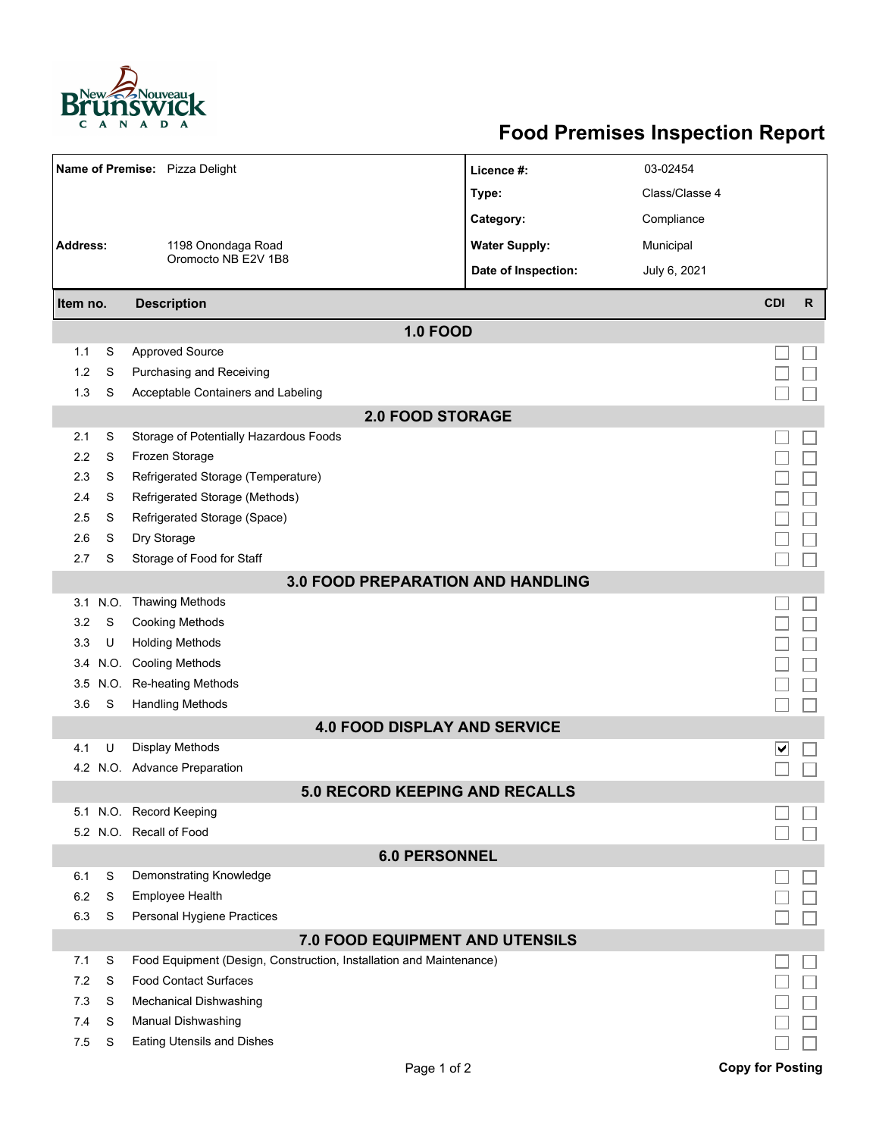

## **Food Premises Inspection Report**

| Name of Premise: Pizza Delight           |          |                                                                     | Licence #:           | 03-02454       |                         |              |  |  |  |  |  |
|------------------------------------------|----------|---------------------------------------------------------------------|----------------------|----------------|-------------------------|--------------|--|--|--|--|--|
|                                          |          |                                                                     | Type:                | Class/Classe 4 |                         |              |  |  |  |  |  |
|                                          |          |                                                                     | Category:            | Compliance     |                         |              |  |  |  |  |  |
| <b>Address:</b>                          |          | 1198 Onondaga Road                                                  | <b>Water Supply:</b> | Municipal      |                         |              |  |  |  |  |  |
|                                          |          | Oromocto NB E2V 1B8                                                 |                      |                |                         |              |  |  |  |  |  |
|                                          |          |                                                                     | Date of Inspection:  | July 6, 2021   |                         |              |  |  |  |  |  |
| Item no.                                 |          | <b>Description</b>                                                  |                      |                | <b>CDI</b>              | $\mathsf{R}$ |  |  |  |  |  |
| <b>1.0 FOOD</b>                          |          |                                                                     |                      |                |                         |              |  |  |  |  |  |
| 1.1                                      | S        | <b>Approved Source</b>                                              |                      |                |                         |              |  |  |  |  |  |
| 1.2                                      | S        | Purchasing and Receiving                                            |                      |                |                         |              |  |  |  |  |  |
| 1.3                                      | S        | Acceptable Containers and Labeling                                  |                      |                |                         |              |  |  |  |  |  |
| <b>2.0 FOOD STORAGE</b>                  |          |                                                                     |                      |                |                         |              |  |  |  |  |  |
| 2.1                                      | S        | Storage of Potentially Hazardous Foods                              |                      |                |                         |              |  |  |  |  |  |
| 2.2                                      | S        | Frozen Storage                                                      |                      |                |                         |              |  |  |  |  |  |
| 2.3                                      | S        | Refrigerated Storage (Temperature)                                  |                      |                |                         |              |  |  |  |  |  |
| 2.4                                      | S        | Refrigerated Storage (Methods)                                      |                      |                |                         |              |  |  |  |  |  |
| 2.5                                      | S        | Refrigerated Storage (Space)                                        |                      |                |                         |              |  |  |  |  |  |
| 2.6                                      | S        | Dry Storage                                                         |                      |                |                         |              |  |  |  |  |  |
| 2.7                                      | S        | Storage of Food for Staff                                           |                      |                |                         |              |  |  |  |  |  |
| <b>3.0 FOOD PREPARATION AND HANDLING</b> |          |                                                                     |                      |                |                         |              |  |  |  |  |  |
| 3.1                                      | N.O.     | <b>Thawing Methods</b>                                              |                      |                |                         |              |  |  |  |  |  |
| 3.2                                      | S        | <b>Cooking Methods</b>                                              |                      |                |                         |              |  |  |  |  |  |
| 3.3                                      | U        | <b>Holding Methods</b>                                              |                      |                |                         |              |  |  |  |  |  |
|                                          | 3.4 N.O. | <b>Cooling Methods</b>                                              |                      |                |                         |              |  |  |  |  |  |
| 3.5                                      | N.O.     | Re-heating Methods                                                  |                      |                |                         |              |  |  |  |  |  |
| 3.6                                      |          | S<br><b>Handling Methods</b>                                        |                      |                |                         |              |  |  |  |  |  |
|                                          |          | <b>4.0 FOOD DISPLAY AND SERVICE</b>                                 |                      |                |                         |              |  |  |  |  |  |
| 4.1                                      | U        | Display Methods                                                     |                      |                | ∨                       |              |  |  |  |  |  |
|                                          |          | 4.2 N.O. Advance Preparation                                        |                      |                |                         |              |  |  |  |  |  |
|                                          |          | <b>5.0 RECORD KEEPING AND RECALLS</b>                               |                      |                |                         |              |  |  |  |  |  |
|                                          |          | 5.1 N.O. Record Keeping                                             |                      |                |                         |              |  |  |  |  |  |
|                                          |          | 5.2 N.O. Recall of Food                                             |                      |                |                         |              |  |  |  |  |  |
| <b>6.0 PERSONNEL</b>                     |          |                                                                     |                      |                |                         |              |  |  |  |  |  |
| 6.1                                      | S        | Demonstrating Knowledge                                             |                      |                |                         |              |  |  |  |  |  |
| 6.2                                      | S        | Employee Health                                                     |                      |                |                         |              |  |  |  |  |  |
| 6.3                                      | S        | Personal Hygiene Practices                                          |                      |                |                         |              |  |  |  |  |  |
| 7.0 FOOD EQUIPMENT AND UTENSILS          |          |                                                                     |                      |                |                         |              |  |  |  |  |  |
| 7.1                                      | S        | Food Equipment (Design, Construction, Installation and Maintenance) |                      |                |                         |              |  |  |  |  |  |
| 7.2                                      | S        | <b>Food Contact Surfaces</b>                                        |                      |                |                         |              |  |  |  |  |  |
| 7.3<br>7.4                               | S<br>S   | Mechanical Dishwashing                                              |                      |                |                         |              |  |  |  |  |  |
| 7.5                                      | S        | Manual Dishwashing<br>Eating Utensils and Dishes                    |                      |                |                         |              |  |  |  |  |  |
|                                          |          |                                                                     |                      |                |                         |              |  |  |  |  |  |
|                                          |          | Page 1 of 2                                                         |                      |                | <b>Copy for Posting</b> |              |  |  |  |  |  |